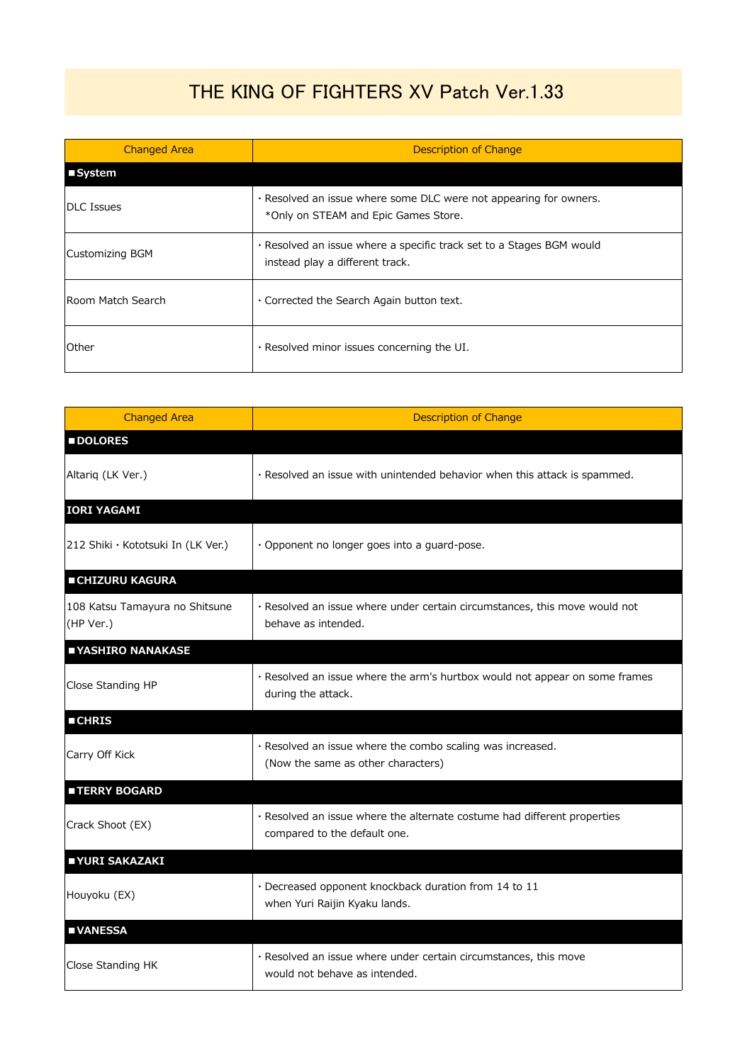## THE KING OF FIGHTERS XV Patch Ver.1.33

| <b>Changed Area</b> | Description of Change                                                                                     |
|---------------------|-----------------------------------------------------------------------------------------------------------|
| ■System             |                                                                                                           |
| <b>DLC Issues</b>   | . Resolved an issue where some DLC were not appearing for owners.<br>*Only on STEAM and Epic Games Store. |
| Customizing BGM     | . Resolved an issue where a specific track set to a Stages BGM would<br>instead play a different track.   |
| Room Match Search   | . Corrected the Search Again button text.                                                                 |
| Other               | $\cdot$ Resolved minor issues concerning the UI.                                                          |

| <b>Changed Area</b>                         | <b>Description of Change</b>                                                                             |
|---------------------------------------------|----------------------------------------------------------------------------------------------------------|
| <b>DOLORES</b>                              |                                                                                                          |
| Altariq (LK Ver.)                           | · Resolved an issue with unintended behavior when this attack is spammed.                                |
| <b>IORI YAGAMI</b>                          |                                                                                                          |
| 212 Shiki · Kototsuki In (LK Ver.)          | · Opponent no longer goes into a guard-pose.                                                             |
| <b>CHIZURU KAGURA</b>                       |                                                                                                          |
| 108 Katsu Tamayura no Shitsune<br>(HP Ver.) | · Resolved an issue where under certain circumstances, this move would not<br>behave as intended.        |
| YASHIRO NANAKASE                            |                                                                                                          |
| Close Standing HP                           | · Resolved an issue where the arm's hurtbox would not appear on some frames<br>during the attack.        |
| <b>CHRIS</b>                                |                                                                                                          |
| Carry Off Kick                              | · Resolved an issue where the combo scaling was increased.<br>(Now the same as other characters)         |
| <b>TERRY BOGARD</b>                         |                                                                                                          |
| Crack Shoot (EX)                            | · Resolved an issue where the alternate costume had different properties<br>compared to the default one. |
| YURI SAKAZAKI                               |                                                                                                          |
| Houyoku (EX)                                | · Decreased opponent knockback duration from 14 to 11<br>when Yuri Raijin Kyaku lands.                   |
| <b>UNANESSA</b>                             |                                                                                                          |
| Close Standing HK                           | · Resolved an issue where under certain circumstances, this move<br>would not behave as intended.        |